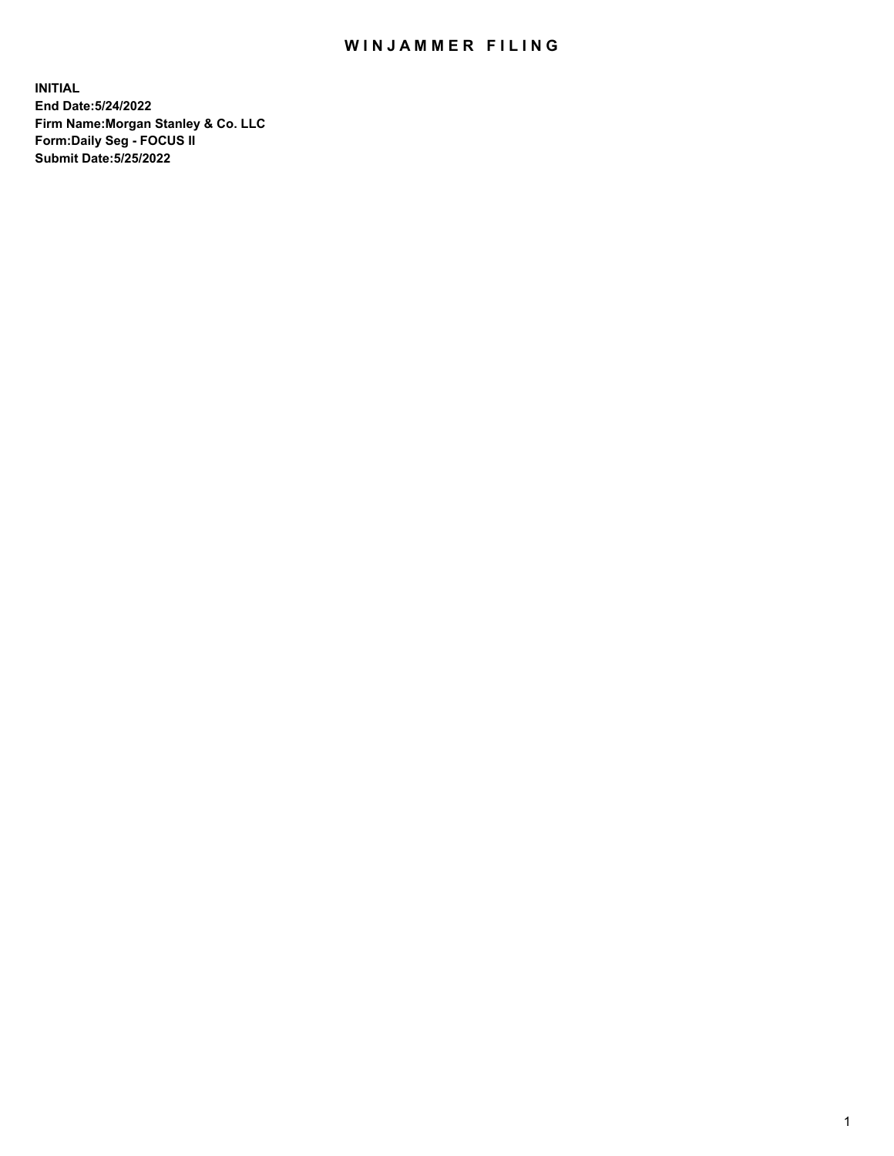## WIN JAMMER FILING

**INITIAL End Date:5/24/2022 Firm Name:Morgan Stanley & Co. LLC Form:Daily Seg - FOCUS II Submit Date:5/25/2022**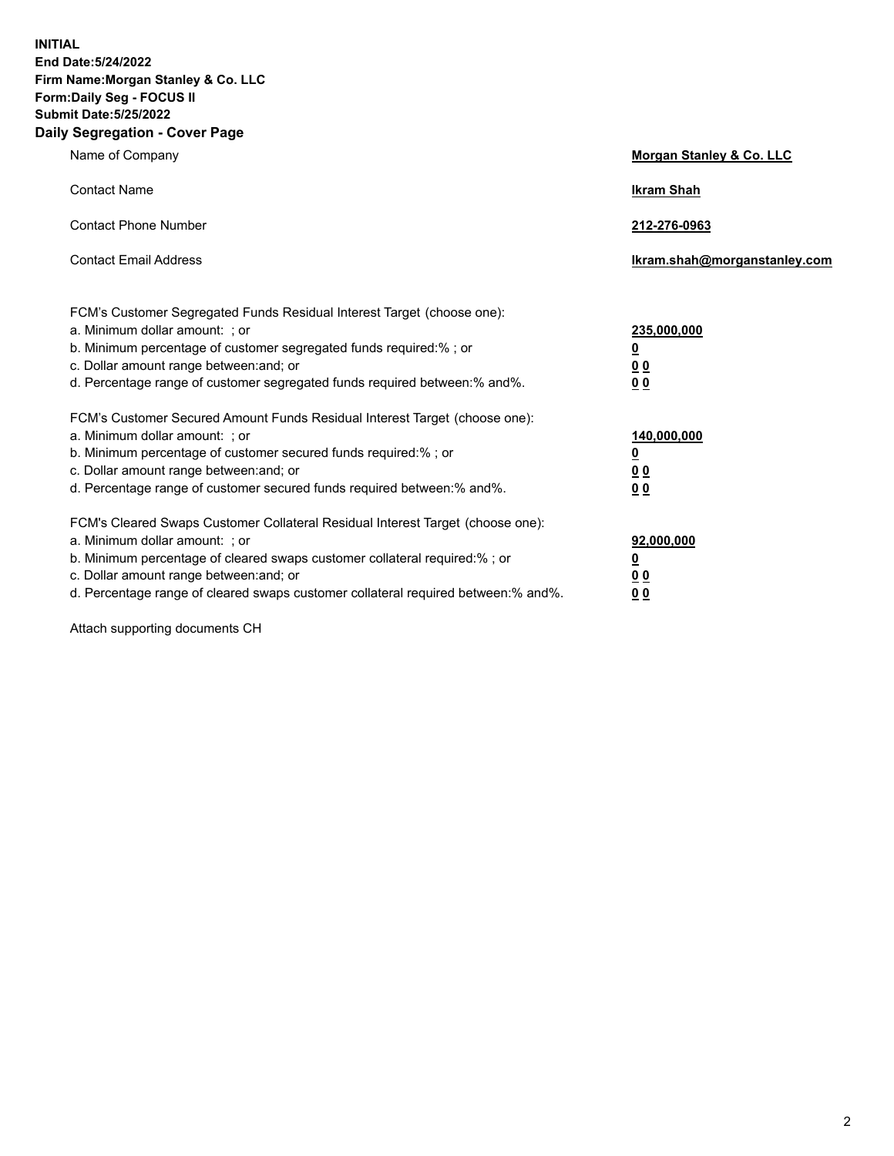**INITIAL End Date:5/24/2022 Firm Name:Morgan Stanley & Co. LLC Form:Daily Seg - FOCUS II Submit Date:5/25/2022 Daily Segregation - Cover Page**

| Name of Company                                                                                                                                                                                                                                                                                                                | Morgan Stanley & Co. LLC                               |  |
|--------------------------------------------------------------------------------------------------------------------------------------------------------------------------------------------------------------------------------------------------------------------------------------------------------------------------------|--------------------------------------------------------|--|
| <b>Contact Name</b>                                                                                                                                                                                                                                                                                                            | <b>Ikram Shah</b>                                      |  |
| <b>Contact Phone Number</b>                                                                                                                                                                                                                                                                                                    | 212-276-0963                                           |  |
| <b>Contact Email Address</b>                                                                                                                                                                                                                                                                                                   | Ikram.shah@morganstanley.com                           |  |
| FCM's Customer Segregated Funds Residual Interest Target (choose one):<br>a. Minimum dollar amount: ; or<br>b. Minimum percentage of customer segregated funds required:% ; or<br>c. Dollar amount range between: and; or<br>d. Percentage range of customer segregated funds required between:% and%.                         | 235,000,000<br><u>0</u><br>0 <sup>0</sup><br><u>00</u> |  |
| FCM's Customer Secured Amount Funds Residual Interest Target (choose one):<br>a. Minimum dollar amount: ; or<br>b. Minimum percentage of customer secured funds required:% ; or<br>c. Dollar amount range between: and; or<br>d. Percentage range of customer secured funds required between:% and%.                           | 140,000,000<br><u>0</u><br><u>00</u><br>00             |  |
| FCM's Cleared Swaps Customer Collateral Residual Interest Target (choose one):<br>a. Minimum dollar amount: ; or<br>b. Minimum percentage of cleared swaps customer collateral required:% ; or<br>c. Dollar amount range between: and; or<br>d. Percentage range of cleared swaps customer collateral required between:% and%. | 92,000,000<br><u>0</u><br><u>00</u><br>00              |  |

Attach supporting documents CH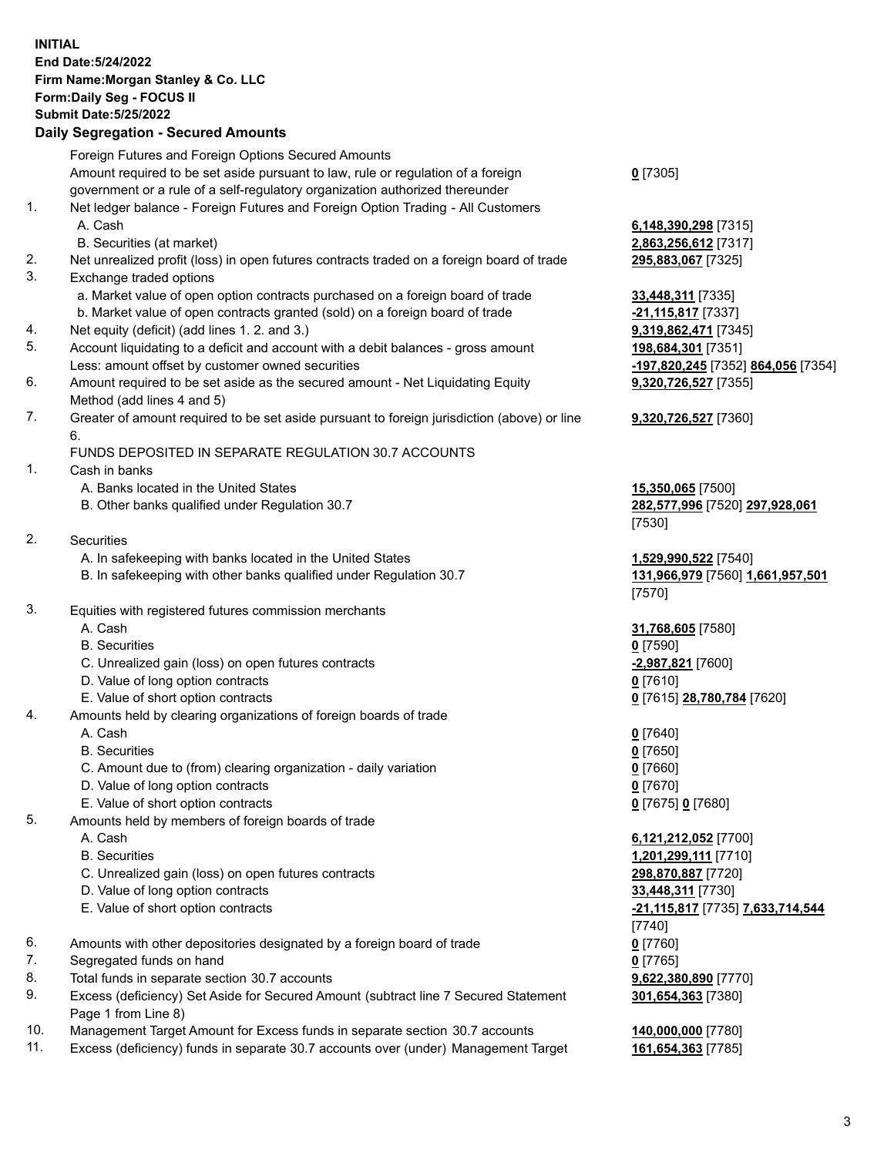## **INITIAL End Date:5/24/2022 Firm Name:Morgan Stanley & Co. LLC Form:Daily Seg - FOCUS II Submit Date:5/25/2022**

## **Daily Segregation - Secured Amounts**

|          | Foreign Futures and Foreign Options Secured Amounts<br>Amount required to be set aside pursuant to law, rule or regulation of a foreign | $0$ [7305]                                 |
|----------|-----------------------------------------------------------------------------------------------------------------------------------------|--------------------------------------------|
|          | government or a rule of a self-regulatory organization authorized thereunder                                                            |                                            |
| 1.       | Net ledger balance - Foreign Futures and Foreign Option Trading - All Customers                                                         |                                            |
|          | A. Cash                                                                                                                                 | 6,148,390,298 [7315]                       |
|          | B. Securities (at market)                                                                                                               | 2,863,256,612 [7317]                       |
| 2.       | Net unrealized profit (loss) in open futures contracts traded on a foreign board of trade                                               | 295,883,067 [7325]                         |
| 3.       | Exchange traded options                                                                                                                 |                                            |
|          | a. Market value of open option contracts purchased on a foreign board of trade                                                          | 33,448,311 [7335]                          |
|          | b. Market value of open contracts granted (sold) on a foreign board of trade                                                            | -21,115,817 [7337]                         |
| 4.       | Net equity (deficit) (add lines 1. 2. and 3.)                                                                                           | 9,319,862,471 [7345]                       |
| 5.       | Account liquidating to a deficit and account with a debit balances - gross amount                                                       | 198,684,301 [7351]                         |
|          | Less: amount offset by customer owned securities                                                                                        | -197,820,245 [7352]                        |
| 6.       | Amount required to be set aside as the secured amount - Net Liquidating Equity                                                          | 9,320,726,527 [7355]                       |
| 7.       | Method (add lines 4 and 5)<br>Greater of amount required to be set aside pursuant to foreign jurisdiction (above) or line               |                                            |
|          | 6.                                                                                                                                      | 9,320,726,527 [7360]                       |
|          | FUNDS DEPOSITED IN SEPARATE REGULATION 30.7 ACCOUNTS                                                                                    |                                            |
| 1.       | Cash in banks                                                                                                                           |                                            |
|          | A. Banks located in the United States                                                                                                   | 15,350,065 [7500]                          |
|          | B. Other banks qualified under Regulation 30.7                                                                                          | 282,577,996 [7520] 2                       |
|          |                                                                                                                                         | [7530]                                     |
| 2.       | <b>Securities</b>                                                                                                                       |                                            |
|          | A. In safekeeping with banks located in the United States                                                                               | <u>1,529,990,522</u> [7540]                |
|          | B. In safekeeping with other banks qualified under Regulation 30.7                                                                      | 131,966,979 [7560] 1                       |
|          |                                                                                                                                         | [7570]                                     |
| 3.       | Equities with registered futures commission merchants                                                                                   |                                            |
|          | A. Cash<br><b>B.</b> Securities                                                                                                         | 31,768,605 [7580]                          |
|          | C. Unrealized gain (loss) on open futures contracts                                                                                     | $0$ [7590]<br>-2,987,821 [7600]            |
|          | D. Value of long option contracts                                                                                                       | $0$ [7610]                                 |
|          | E. Value of short option contracts                                                                                                      | 0 [7615] 28,780,784                        |
| 4.       | Amounts held by clearing organizations of foreign boards of trade                                                                       |                                            |
|          | A. Cash                                                                                                                                 | $0$ [7640]                                 |
|          | <b>B.</b> Securities                                                                                                                    | <u>0</u> [7650]                            |
|          | C. Amount due to (from) clearing organization - daily variation                                                                         | $0$ [7660]                                 |
|          | D. Value of long option contracts                                                                                                       | $0$ [7670]                                 |
|          | E. Value of short option contracts                                                                                                      | 0 [7675] 0 [7680]                          |
| 5.       | Amounts held by members of foreign boards of trade                                                                                      |                                            |
|          | A. Cash                                                                                                                                 | 6,121,212,052 [7700]                       |
|          | <b>B.</b> Securities                                                                                                                    | 1,201,299,111 [7710]                       |
|          | C. Unrealized gain (loss) on open futures contracts                                                                                     | 298,870,887 [7720]                         |
|          | D. Value of long option contracts                                                                                                       | 33,448,311 [7730]                          |
|          | E. Value of short option contracts                                                                                                      | <u>-21,115,817</u> [7735] <u>7.</u>        |
|          |                                                                                                                                         | $[7740]$                                   |
| 6.       | Amounts with other depositories designated by a foreign board of trade                                                                  | $0$ [7760]                                 |
| 7.<br>8. | Segregated funds on hand<br>Total funds in separate section 30.7 accounts                                                               | $0$ [7765]                                 |
| 9.       | Excess (deficiency) Set Aside for Secured Amount (subtract line 7 Secured Statement                                                     | 9,622,380,890 [7770]<br>301,654,363 [7380] |
|          | Page 1 from Line 8)                                                                                                                     |                                            |
|          |                                                                                                                                         |                                            |

- 10. Management Target Amount for Excess funds in separate section 30.7 accounts **140,000,000** [7780]
- 11. Excess (deficiency) funds in separate 30.7 accounts over (under) Management Target **161,654,363** [7785]

Less: amount offset by customer owned securities **-197,820,245** [7352] **864,056** [7354] **9,320,726,527** [7355]

## **9,320,726,527** [7360]

B. Other banks qualified under Regulation 30.7 **282,577,996** [7520] **297,928,061**

B. In safekeeping with other banks qualified under Regulation 30.7 **131,966,979** [7560] **1,661,957,501**

E. Value of short option contracts **0** [7615] **28,780,784** [7620]

 E. Value of short option contracts **-21,115,817** [7735] **7,633,714,544 301,654,363** [7380]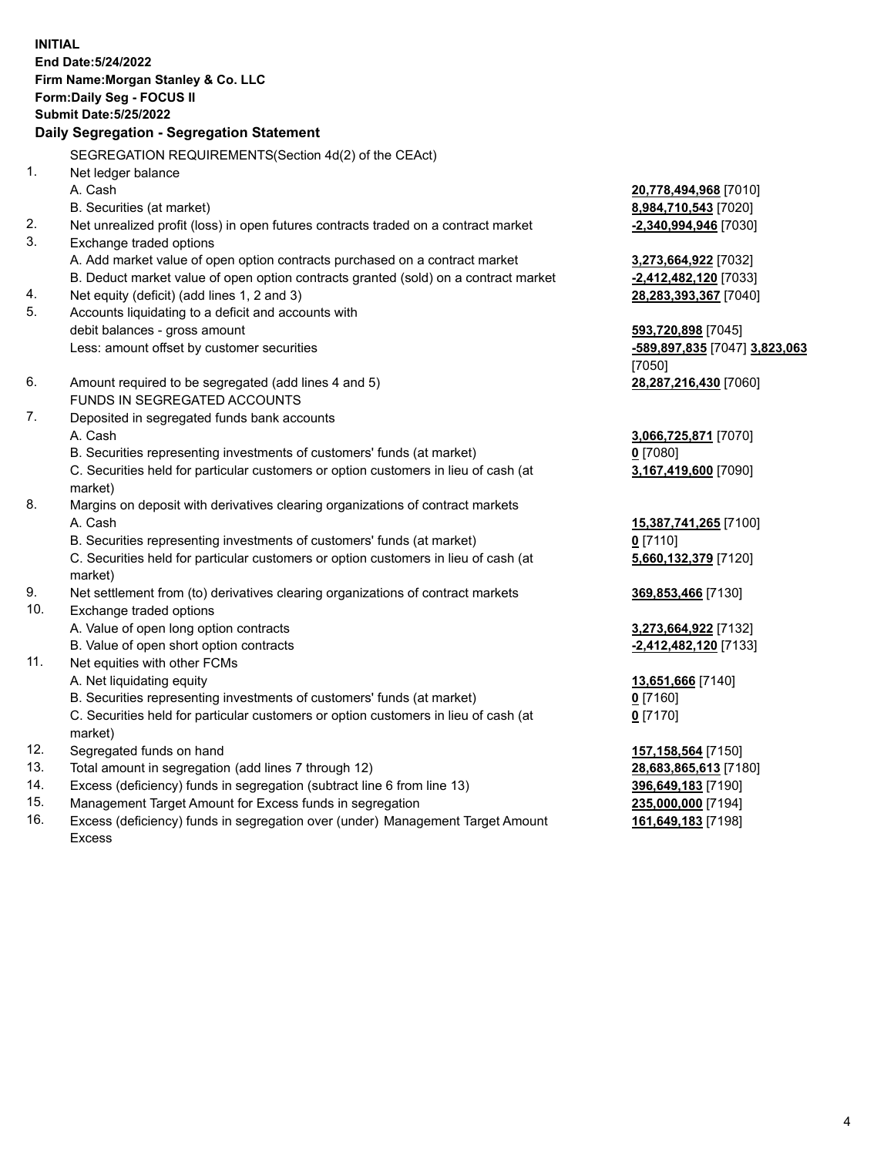**INITIAL End Date:5/24/2022 Firm Name:Morgan Stanley & Co. LLC Form:Daily Seg - FOCUS II Submit Date:5/25/2022 Daily Segregation - Segregation Statement** SEGREGATION REQUIREMENTS(Section 4d(2) of the CEAct) 1. Net ledger balance A. Cash **20,778,494,968** [7010] B. Securities (at market) **8,984,710,543** [7020] 2. Net unrealized profit (loss) in open futures contracts traded on a contract market **-2,340,994,946** [7030] 3. Exchange traded options A. Add market value of open option contracts purchased on a contract market **3,273,664,922** [7032] B. Deduct market value of open option contracts granted (sold) on a contract market **-2,412,482,120** [7033] 4. Net equity (deficit) (add lines 1, 2 and 3) **28,283,393,367** [7040] 5. Accounts liquidating to a deficit and accounts with debit balances - gross amount **593,720,898** [7045] Less: amount offset by customer securities **-589,897,835** [7047] **3,823,063** [7050] 6. Amount required to be segregated (add lines 4 and 5) **28,287,216,430** [7060] FUNDS IN SEGREGATED ACCOUNTS 7. Deposited in segregated funds bank accounts A. Cash **3,066,725,871** [7070] B. Securities representing investments of customers' funds (at market) **0** [7080] C. Securities held for particular customers or option customers in lieu of cash (at market) **3,167,419,600** [7090] 8. Margins on deposit with derivatives clearing organizations of contract markets A. Cash **15,387,741,265** [7100] B. Securities representing investments of customers' funds (at market) **0** [7110] C. Securities held for particular customers or option customers in lieu of cash (at market) **5,660,132,379** [7120] 9. Net settlement from (to) derivatives clearing organizations of contract markets **369,853,466** [7130] 10. Exchange traded options A. Value of open long option contracts **3,273,664,922** [7132] B. Value of open short option contracts **-2,412,482,120** [7133] 11. Net equities with other FCMs A. Net liquidating equity **13,651,666** [7140] B. Securities representing investments of customers' funds (at market) **0** [7160] C. Securities held for particular customers or option customers in lieu of cash (at market) **0** [7170] 12. Segregated funds on hand **157,158,564** [7150] 13. Total amount in segregation (add lines 7 through 12) **28,683,865,613** [7180] 14. Excess (deficiency) funds in segregation (subtract line 6 from line 13) **396,649,183** [7190] 15. Management Target Amount for Excess funds in segregation **235,000,000** [7194]

16. Excess (deficiency) funds in segregation over (under) Management Target Amount Excess

**161,649,183** [7198]